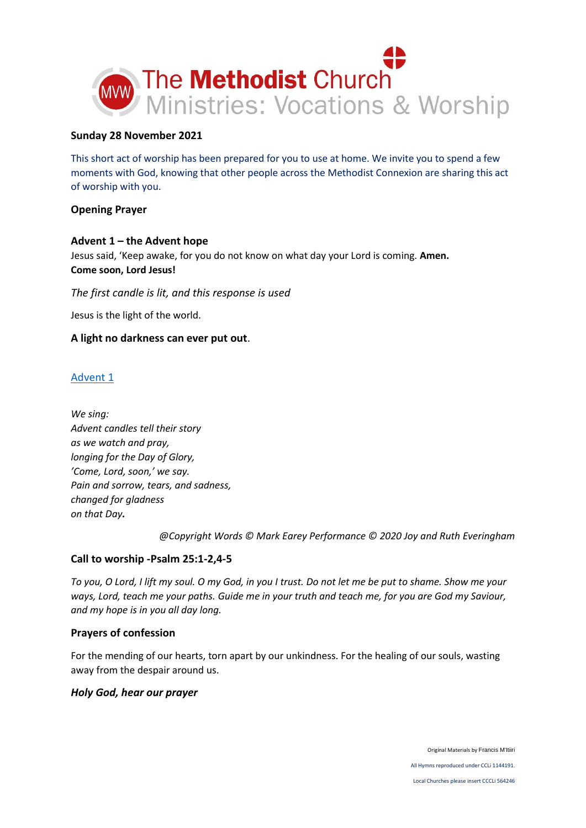

## **Sunday 28 November 2021**

This short act of worship has been prepared for you to use at home. We invite you to spend a few moments with God, knowing that other people across the Methodist Connexion are sharing this act of worship with you.

## **Opening Prayer**

## **Advent 1 – the Advent hope**

Jesus said, 'Keep awake, for you do not know on what day your Lord is coming. **Amen. Come soon, Lord Jesus!**

*The first candle is lit, and this response is used*

Jesus is the light of the world.

## **A light no darkness can ever put out**.

## [Advent 1](https://www.youtube.com/watch?v=X5sSARpY2-o)

*We sing: Advent candles tell their story as we watch and pray, longing for the Day of Glory, 'Come, Lord, soon,' we say. Pain and sorrow, tears, and sadness, changed for gladness on that Day.*

*@Copyright Words © Mark Earey Performance © 2020 Joy and Ruth Everingham*

### **Call to worship -Psalm 25:1-2,4-5**

*To you, O Lord, I lift my soul. O my God, in you I trust. Do not let me be put to shame. Show me your ways, Lord, teach me your paths. Guide me in your truth and teach me, for you are God my Saviour, and my hope is in you all day long.*

### **Prayers of confession**

For the mending of our hearts, torn apart by our unkindness. For the healing of our souls, wasting away from the despair around us.

### *Holy God, hear our prayer*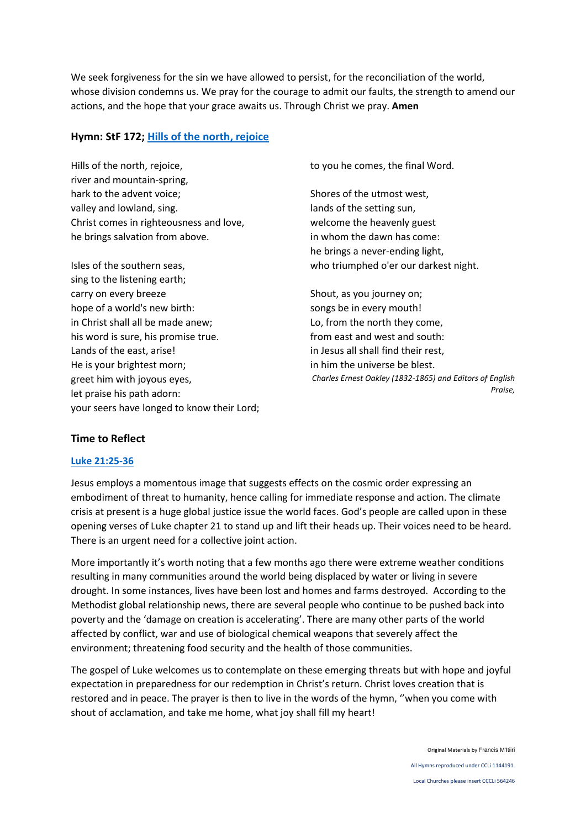We seek forgiveness for the sin we have allowed to persist, for the reconciliation of the world, whose division condemns us. We pray for the courage to admit our faults, the strength to amend our actions, and the hope that your grace awaits us. Through Christ we pray. **Amen**

## **Hymn: StF 172; [Hills of the north, rejoice](https://www.youtube.com/watch?v=dYi6pKL4i5o)**

Hills of the north, rejoice, river and mountain-spring, hark to the advent voice; valley and lowland, sing. Christ comes in righteousness and love, he brings salvation from above.

Isles of the southern seas, sing to the listening earth; carry on every breeze hope of a world's new birth: in Christ shall all be made anew; his word is sure, his promise true. Lands of the east, arise! He is your brightest morn; greet him with joyous eyes, let praise his path adorn: your seers have longed to know their Lord; to you he comes, the final Word.

Shores of the utmost west, lands of the setting sun, welcome the heavenly guest in whom the dawn has come: he brings a never-ending light, who triumphed o'er our darkest night.

Shout, as you journey on; songs be in every mouth! Lo, from the north they come, from east and west and south: in Jesus all shall find their rest, in him the universe be blest. *Charles Ernest Oakley (1832-1865) and Editors of English Praise,*

# **Time to Reflect**

### **[Luke 21:25-36](https://www.biblegateway.com/passage/?search=Luke%2021%3A25-36&version=NIV)**

Jesus employs a momentous image that suggests effects on the cosmic order expressing an embodiment of threat to humanity, hence calling for immediate response and action. The climate crisis at present is a huge global justice issue the world faces. God's people are called upon in these opening verses of Luke chapter 21 to stand up and lift their heads up. Their voices need to be heard. There is an urgent need for a collective joint action.

More importantly it's worth noting that a few months ago there were extreme weather conditions resulting in many communities around the world being displaced by water or living in severe drought. In some instances, lives have been lost and homes and farms destroyed. According to the Methodist global relationship news, there are several people who continue to be pushed back into poverty and the 'damage on creation is accelerating'. There are many other parts of the world affected by conflict, war and use of biological chemical weapons that severely affect the environment; threatening food security and the health of those communities.

The gospel of Luke welcomes us to contemplate on these emerging threats but with hope and joyful expectation in preparedness for our redemption in Christ's return. Christ loves creation that is restored and in peace. The prayer is then to live in the words of the hymn, ''when you come with shout of acclamation, and take me home, what joy shall fill my heart!

> Original Materials by Francis M'Itiiri All Hymns reproduced under CCLi 1144191. Local Churches please insert CCCLi 564246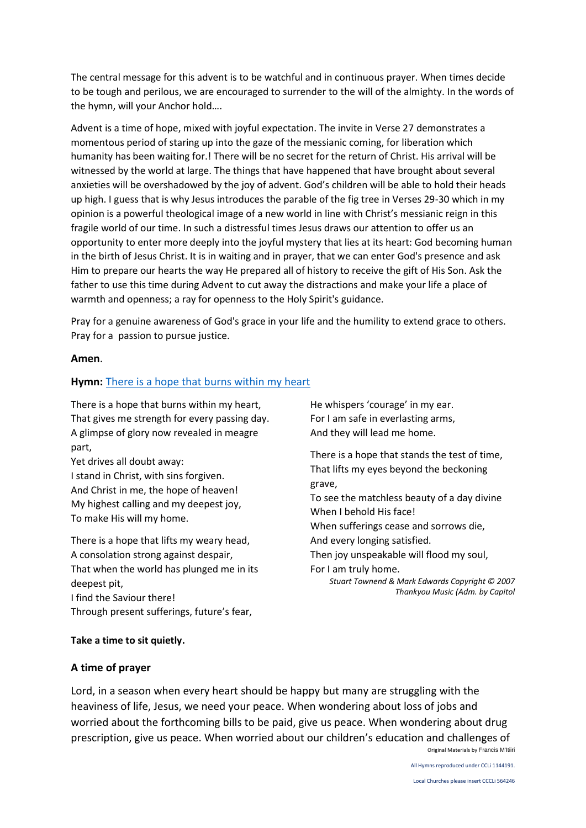The central message for this advent is to be watchful and in continuous prayer. When times decide to be tough and perilous, we are encouraged to surrender to the will of the almighty. In the words of the hymn, will your Anchor hold….

Advent is a time of hope, mixed with joyful expectation. The invite in Verse 27 demonstrates a momentous period of staring up into the gaze of the messianic coming, for liberation which humanity has been waiting for.! There will be no secret for the return of Christ. His arrival will be witnessed by the world at large. The things that have happened that have brought about several anxieties will be overshadowed by the joy of advent. God's children will be able to hold their heads up high. I guess that is why Jesus introduces the parable of the fig tree in Verses 29-30 which in my opinion is a powerful theological image of a new world in line with Christ's messianic reign in this fragile world of our time. In such a distressful times Jesus draws our attention to offer us an opportunity to enter more deeply into the joyful mystery that lies at its heart: God becoming human in the birth of Jesus Christ. It is in waiting and in prayer, that we can enter God's presence and ask Him to prepare our hearts the way He prepared all of history to receive the gift of His Son. Ask the father to use this time during Advent to cut away the distractions and make your life a place of warmth and openness; a ray for openness to the Holy Spirit's guidance.

Pray for a genuine awareness of God's grace in your life and the humility to extend grace to others. Pray for a passion to pursue justice.

### **Amen**.

## **Hymn:** [There is a hope that burns within my heart](https://www.youtube.com/watch?v=FVUfNEwRPno)

There is a hope that burns within my heart, That gives me strength for every passing day. A glimpse of glory now revealed in meagre part,

Yet drives all doubt away: I stand in Christ, with sins forgiven. And Christ in me, the hope of heaven! My highest calling and my deepest joy, To make His will my home.

There is a hope that lifts my weary head, A consolation strong against despair, That when the world has plunged me in its deepest pit, I find the Saviour there! Through present sufferings, future's fear,

He whispers 'courage' in my ear. For I am safe in everlasting arms, And they will lead me home.

There is a hope that stands the test of time, That lifts my eyes beyond the beckoning grave,

To see the matchless beauty of a day divine When I behold His face!

When sufferings cease and sorrows die,

And every longing satisfied.

Then joy unspeakable will flood my soul,

For I am truly home. *Stuart Townend & Mark Edwards Copyright © 2007 Thankyou Music (Adm. by Capitol*

### **Take a time to sit quietly.**

# **A time of prayer**

Lord, in a season when every heart should be happy but many are struggling with the heaviness of life, Jesus, we need your peace. When wondering about loss of jobs and worried about the forthcoming bills to be paid, give us peace. When wondering about drug prescription, give us peace. When worried about our children's education and challenges of

Original Materials by Francis M'Itiiri